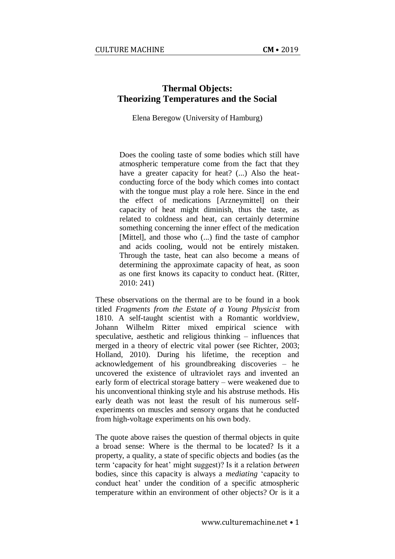# **Thermal Objects: Theorizing Temperatures and the Social**

Elena Beregow (University of Hamburg)

Does the cooling taste of some bodies which still have atmospheric temperature come from the fact that they have a greater capacity for heat? (...) Also the heatconducting force of the body which comes into contact with the tongue must play a role here. Since in the end the effect of medications [Arzneymittel] on their capacity of heat might diminish, thus the taste, as related to coldness and heat, can certainly determine something concerning the inner effect of the medication [Mittel], and those who (...) find the taste of camphor and acids cooling, would not be entirely mistaken. Through the taste, heat can also become a means of determining the approximate capacity of heat, as soon as one first knows its capacity to conduct heat. (Ritter, 2010: 241)

These observations on the thermal are to be found in a book titled *Fragments from the Estate of a Young Physicist* from 1810. A self-taught scientist with a Romantic worldview, Johann Wilhelm Ritter mixed empirical science with speculative, aesthetic and religious thinking – influences that merged in a theory of electric vital power (see Richter, 2003; Holland, 2010). During his lifetime, the reception and acknowledgement of his groundbreaking discoveries – he uncovered the existence of ultraviolet rays and invented an early form of electrical storage battery – were weakened due to his unconventional thinking style and his abstruse methods. His early death was not least the result of his numerous selfexperiments on muscles and sensory organs that he conducted from high-voltage experiments on his own body.

The quote above raises the question of thermal objects in quite a broad sense: Where is the thermal to be located? Is it a property, a quality, a state of specific objects and bodies (as the term 'capacity for heat' might suggest)? Is it a relation *between* bodies, since this capacity is always a *mediating* 'capacity to conduct heat' under the condition of a specific atmospheric temperature within an environment of other objects? Or is it a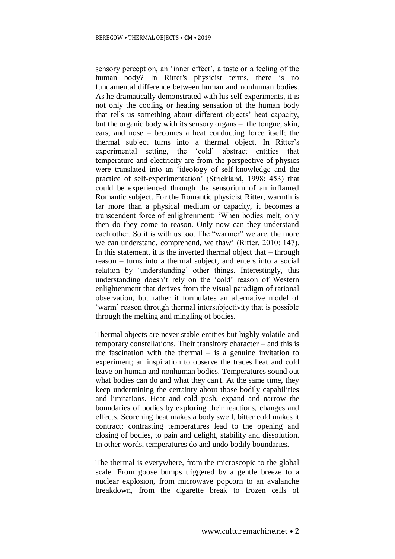sensory perception, an 'inner effect', a taste or a feeling of the human body? In Ritter's physicist terms, there is no fundamental difference between human and nonhuman bodies. As he dramatically demonstrated with his self experiments, it is not only the cooling or heating sensation of the human body that tells us something about different objects' heat capacity, but the organic body with its sensory organs – the tongue, skin, ears, and nose – becomes a heat conducting force itself; the thermal subject turns into a thermal object. In Ritter's experimental setting, the 'cold' abstract entities that temperature and electricity are from the perspective of physics were translated into an 'ideology of self-knowledge and the practice of self-experimentation' (Strickland, 1998: 453) that could be experienced through the sensorium of an inflamed Romantic subject. For the Romantic physicist Ritter, warmth is far more than a physical medium or capacity, it becomes a transcendent force of enlightenment: 'When bodies melt, only then do they come to reason. Only now can they understand each other. So it is with us too. The "warmer" we are, the more we can understand, comprehend, we thaw' (Ritter, 2010: 147). In this statement, it is the inverted thermal object that  $-$  through reason – turns into a thermal subject, and enters into a social relation by 'understanding' other things. Interestingly, this understanding doesn't rely on the 'cold' reason of Western enlightenment that derives from the visual paradigm of rational observation, but rather it formulates an alternative model of 'warm' reason through thermal intersubjectivity that is possible through the melting and mingling of bodies.

Thermal objects are never stable entities but highly volatile and temporary constellations. Their transitory character – and this is the fascination with the thermal – is a genuine invitation to experiment; an inspiration to observe the traces heat and cold leave on human and nonhuman bodies. Temperatures sound out what bodies can do and what they can't. At the same time, they keep undermining the certainty about those bodily capabilities and limitations. Heat and cold push, expand and narrow the boundaries of bodies by exploring their reactions, changes and effects. Scorching heat makes a body swell, bitter cold makes it contract; contrasting temperatures lead to the opening and closing of bodies, to pain and delight, stability and dissolution. In other words, temperatures do and undo bodily boundaries.

The thermal is everywhere, from the microscopic to the global scale. From goose bumps triggered by a gentle breeze to a nuclear explosion, from microwave popcorn to an avalanche breakdown, from the cigarette break to frozen cells of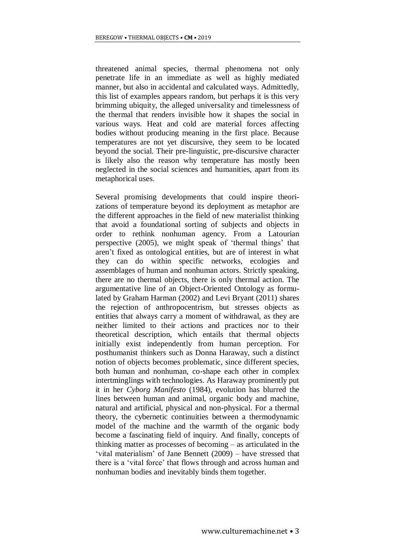threatened animal species, thermal phenomena not only penetrate life in an immediate as well as highly mediated manner, but also in accidental and calculated ways. Admittedly, this list of examples appears random, but perhaps it is this very brimming ubiquity, the alleged universality and timelessness of the thermal that renders invisible how it shapes the social in various ways. Heat and cold are material forces affecting bodies without producing meaning in the first place. Because temperatures are not yet discursive, they seem to be located beyond the social. Their pre-linguistic, pre-discursive character is likely also the reason why temperature has mostly been neglected in the social sciences and humanities, apart from its metaphorical uses.

Several promising developments that could inspire theorizations of temperature beyond its deployment as metaphor are the different approaches in the field of new materialist thinking that avoid a foundational sorting of subjects and objects in order to rethink nonhuman agency. From a Latourian perspective (2005), we might speak of 'thermal things' that aren't fixed as ontological entities, but are of interest in what they can do within specific networks, ecologies and assemblages of human and nonhuman actors. Strictly speaking, there are no thermal objects, there is only thermal action. The argumentative line of an Object-Oriented Ontology as formulated by Graham Harman (2002) and Levi Bryant (2011) shares the rejection of anthropocentrism, but stresses objects as entities that always carry a moment of withdrawal, as they are neither limited to their actions and practices nor to their theoretical description, which entails that thermal objects initially exist independently from human perception. For posthumanist thinkers such as Donna Haraway, such a distinct notion of objects becomes problematic, since different species, both human and nonhuman, co-shape each other in complex intertminglings with technologies. As Haraway prominently put it in her *Cyborg Manifesto* (1984), evolution has blurred the lines between human and animal, organic body and machine, natural and artificial, physical and non-physical. For a thermal theory, the cybernetic continuities between a thermodynamic model of the machine and the warmth of the organic body become a fascinating field of inquiry. And finally, concepts of thinking matter as processes of becoming – as articulated in the 'vital materialism' of Jane Bennett (2009) – have stressed that there is a 'vital force' that flows through and across human and nonhuman bodies and inevitably binds them together.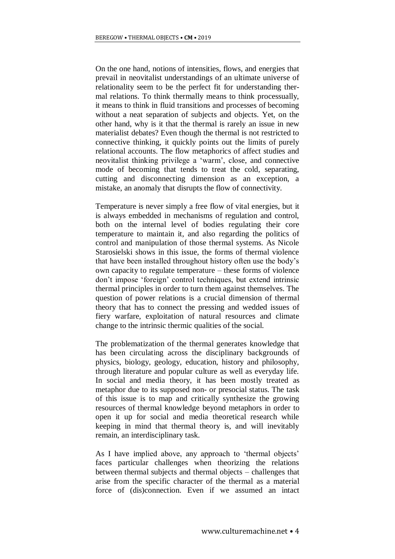On the one hand, notions of intensities, flows, and energies that prevail in neovitalist understandings of an ultimate universe of relationality seem to be the perfect fit for understanding thermal relations. To think thermally means to think processually, it means to think in fluid transitions and processes of becoming without a neat separation of subjects and objects. Yet, on the other hand, why is it that the thermal is rarely an issue in new materialist debates? Even though the thermal is not restricted to connective thinking, it quickly points out the limits of purely relational accounts. The flow metaphorics of affect studies and neovitalist thinking privilege a 'warm', close, and connective mode of becoming that tends to treat the cold, separating, cutting and disconnecting dimension as an exception, a mistake, an anomaly that disrupts the flow of connectivity.

Temperature is never simply a free flow of vital energies, but it is always embedded in mechanisms of regulation and control, both on the internal level of bodies regulating their core temperature to maintain it, and also regarding the politics of control and manipulation of those thermal systems. As Nicole Starosielski shows in this issue, the forms of thermal violence that have been installed throughout history often use the body's own capacity to regulate temperature – these forms of violence don't impose 'foreign' control techniques, but extend intrinsic thermal principles in order to turn them against themselves. The question of power relations is a crucial dimension of thermal theory that has to connect the pressing and wedded issues of fiery warfare, exploitation of natural resources and climate change to the intrinsic thermic qualities of the social.

The problematization of the thermal generates knowledge that has been circulating across the disciplinary backgrounds of physics, biology, geology, education, history and philosophy, through literature and popular culture as well as everyday life. In social and media theory, it has been mostly treated as metaphor due to its supposed non- or presocial status. The task of this issue is to map and critically synthesize the growing resources of thermal knowledge beyond metaphors in order to open it up for social and media theoretical research while keeping in mind that thermal theory is, and will inevitably remain, an interdisciplinary task.

As I have implied above, any approach to 'thermal objects' faces particular challenges when theorizing the relations between thermal subjects and thermal objects – challenges that arise from the specific character of the thermal as a material force of (dis)connection. Even if we assumed an intact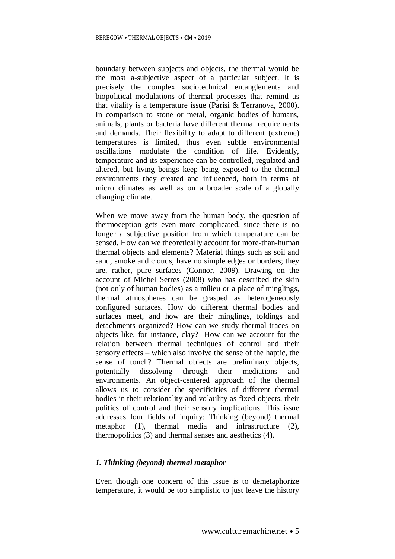boundary between subjects and objects, the thermal would be the most a-subjective aspect of a particular subject. It is precisely the complex sociotechnical entanglements and biopolitical modulations of thermal processes that remind us that vitality is a temperature issue (Parisi & Terranova, 2000). In comparison to stone or metal, organic bodies of humans, animals, plants or bacteria have different thermal requirements and demands. Their flexibility to adapt to different (extreme) temperatures is limited, thus even subtle environmental oscillations modulate the condition of life. Evidently, temperature and its experience can be controlled, regulated and altered, but living beings keep being exposed to the thermal environments they created and influenced, both in terms of micro climates as well as on a broader scale of a globally changing climate.

When we move away from the human body, the question of thermoception gets even more complicated, since there is no longer a subjective position from which temperature can be sensed. How can we theoretically account for more-than-human thermal objects and elements? Material things such as soil and sand, smoke and clouds, have no simple edges or borders; they are, rather, pure surfaces (Connor, 2009). Drawing on the account of Michel Serres (2008) who has described the skin (not only of human bodies) as a milieu or a place of minglings, thermal atmospheres can be grasped as heterogeneously configured surfaces. How do different thermal bodies and surfaces meet, and how are their minglings, foldings and detachments organized? How can we study thermal traces on objects like, for instance, clay? How can we account for the relation between thermal techniques of control and their sensory effects – which also involve the sense of the haptic, the sense of touch? Thermal objects are preliminary objects, potentially dissolving through their mediations and environments. An object-centered approach of the thermal allows us to consider the specificities of different thermal bodies in their relationality and volatility as fixed objects, their politics of control and their sensory implications. This issue addresses four fields of inquiry: Thinking (beyond) thermal metaphor (1), thermal media and infrastructure (2), thermopolitics (3) and thermal senses and aesthetics (4).

### *1. Thinking (beyond) thermal metaphor*

Even though one concern of this issue is to demetaphorize temperature, it would be too simplistic to just leave the history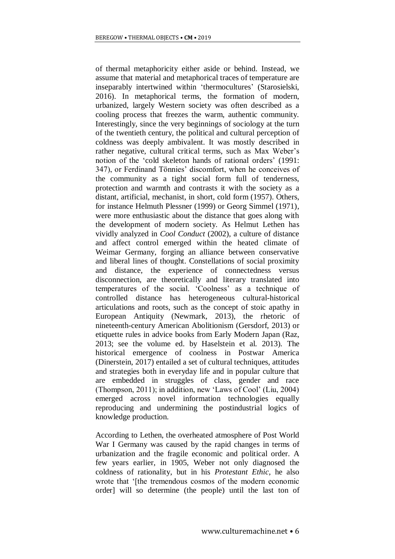of thermal metaphoricity either aside or behind. Instead, we assume that material and metaphorical traces of temperature are inseparably intertwined within 'thermocultures' (Starosielski, 2016). In metaphorical terms, the formation of modern, urbanized, largely Western society was often described as a cooling process that freezes the warm, authentic community. Interestingly, since the very beginnings of sociology at the turn of the twentieth century, the political and cultural perception of coldness was deeply ambivalent. It was mostly described in rather negative, cultural critical terms, such as Max Weber's notion of the 'cold skeleton hands of rational orders' (1991: 347), or Ferdinand Tönnies' discomfort, when he conceives of the community as a tight social form full of tenderness, protection and warmth and contrasts it with the society as a distant, artificial, mechanist, in short, cold form (1957). Others, for instance Helmuth Plessner (1999) or Georg Simmel (1971), were more enthusiastic about the distance that goes along with the development of modern society. As Helmut Lethen has vividly analyzed in *Cool Conduct* (2002), a culture of distance and affect control emerged within the heated climate of Weimar Germany, forging an alliance between conservative and liberal lines of thought. Constellations of social proximity and distance, the experience of connectedness versus disconnection, are theoretically and literary translated into temperatures of the social. 'Coolness' as a technique of controlled distance has heterogeneous cultural-historical articulations and roots, such as the concept of stoic apathy in European Antiquity (Newmark, 2013), the rhetoric of nineteenth-century American Abolitionism (Gersdorf, 2013) or etiquette rules in advice books from Early Modern Japan (Raz, 2013; see the volume ed. by Haselstein et al. 2013). The historical emergence of coolness in Postwar America (Dinerstein, 2017) entailed a set of cultural techniques, attitudes and strategies both in everyday life and in popular culture that are embedded in struggles of class, gender and race (Thompson, 2011); in addition, new 'Laws of Cool' (Liu, 2004) emerged across novel information technologies equally reproducing and undermining the postindustrial logics of knowledge production.

According to Lethen, the overheated atmosphere of Post World War I Germany was caused by the rapid changes in terms of urbanization and the fragile economic and political order. A few years earlier, in 1905, Weber not only diagnosed the coldness of rationality, but in his *Protestant Ethic,* he also wrote that '[the tremendous cosmos of the modern economic order] will so determine (the people) until the last ton of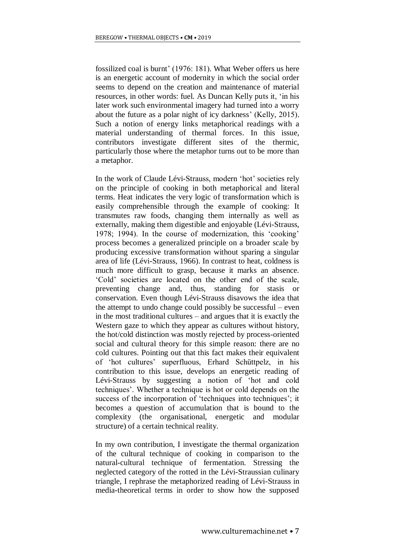fossilized coal is burnt' (1976: 181). What Weber offers us here is an energetic account of modernity in which the social order seems to depend on the creation and maintenance of material resources, in other words: fuel. As Duncan Kelly puts it, 'in his later work such environmental imagery had turned into a worry about the future as a polar night of icy darkness' (Kelly, 2015). Such a notion of energy links metaphorical readings with a material understanding of thermal forces. In this issue, contributors investigate different sites of the thermic, particularly those where the metaphor turns out to be more than a metaphor.

In the work of Claude Lévi-Strauss, modern 'hot' societies rely on the principle of cooking in both metaphorical and literal terms. Heat indicates the very logic of transformation which is easily comprehensible through the example of cooking: It transmutes raw foods, changing them internally as well as externally, making them digestible and enjoyable (Lévi-Strauss, 1978; 1994). In the course of modernization, this 'cooking' process becomes a generalized principle on a broader scale by producing excessive transformation without sparing a singular area of life (Lévi-Strauss, 1966). In contrast to heat, coldness is much more difficult to grasp, because it marks an absence. 'Cold' societies are located on the other end of the scale, preventing change and, thus, standing for stasis or conservation. Even though Lévi-Strauss disavows the idea that the attempt to undo change could possibly be successful – even in the most traditional cultures – and argues that it is exactly the Western gaze to which they appear as cultures without history, the hot/cold distinction was mostly rejected by process-oriented social and cultural theory for this simple reason: there are no cold cultures. Pointing out that this fact makes their equivalent of 'hot cultures' superfluous, Erhard Schüttpelz, in his contribution to this issue, develops an energetic reading of Lévi-Strauss by suggesting a notion of 'hot and cold techniques'. Whether a technique is hot or cold depends on the success of the incorporation of 'techniques into techniques'; it becomes a question of accumulation that is bound to the complexity (the organisational, energetic and modular structure) of a certain technical reality.

In my own contribution, I investigate the thermal organization of the cultural technique of cooking in comparison to the natural-cultural technique of fermentation. Stressing the neglected category of the rotted in the Lévi-Straussian culinary triangle, I rephrase the metaphorized reading of Lévi-Strauss in media-theoretical terms in order to show how the supposed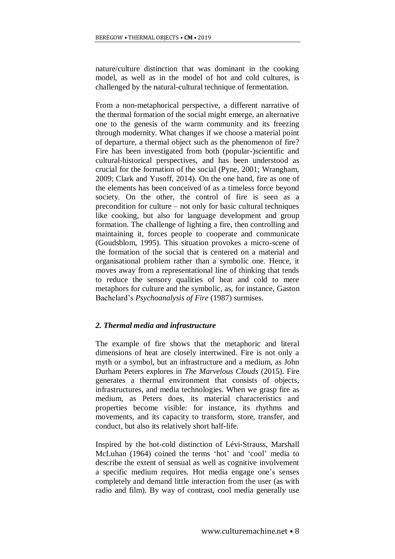nature/culture distinction that was dominant in the cooking model, as well as in the model of hot and cold cultures, is challenged by the natural-cultural technique of fermentation.

From a non-metaphorical perspective, a different narrative of the thermal formation of the social might emerge, an alternative one to the genesis of the warm community and its freezing through modernity. What changes if we choose a material point of departure, a thermal object such as the phenomenon of fire? Fire has been investigated from both (popular-)scientific and cultural-historical perspectives, and has been understood as crucial for the formation of the social (Pyne, 2001; Wrangham, 2009; Clark and Yusoff, 2014). On the one hand, fire as one of the elements has been conceived of as a timeless force beyond society. On the other, the control of fire is seen as a precondition for culture – not only for basic cultural techniques like cooking, but also for language development and group formation. The challenge of lighting a fire, then controlling and maintaining it, forces people to cooperate and communicate (Goudsblom, 1995). This situation provokes a micro-scene of the formation of the social that is centered on a material and organisational problem rather than a symbolic one. Hence, it moves away from a representational line of thinking that tends to reduce the sensory qualities of heat and cold to mere metaphors for culture and the symbolic, as, for instance, Gaston Bachelard's *Psychoanalysis of Fire* (1987) surmises.

## *2. Thermal media and infrastructure*

The example of fire shows that the metaphoric and literal dimensions of heat are closely intertwined. Fire is not only a myth or a symbol, but an infrastructure and a medium, as John Durham Peters explores in *The Marvelous Clouds* (2015). Fire generates a thermal environment that consists of objects, infrastructures, and media technologies. When we grasp fire as medium, as Peters does, its material characteristics and properties become visible: for instance, its rhythms and movements, and its capacity to transform, store, transfer, and conduct, but also its relatively short half-life.

Inspired by the hot-cold distinction of Lévi-Strauss, Marshall McLuhan (1964) coined the terms 'hot' and 'cool' media to describe the extent of sensual as well as cognitive involvement a specific medium requires. Hot media engage one's senses completely and demand little interaction from the user (as with radio and film). By way of contrast, cool media generally use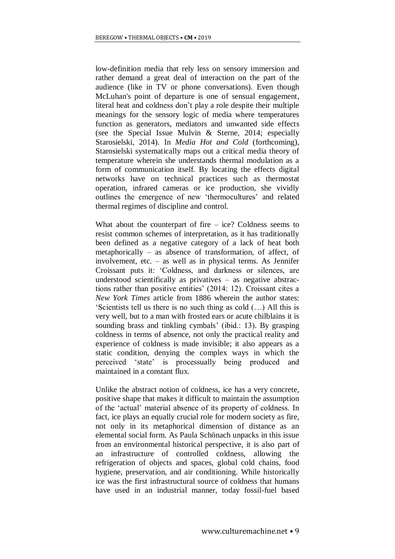low-definition media that rely less on sensory immersion and rather demand a great deal of interaction on the part of the audience (like in TV or phone conversations). Even though McLuhan's point of departure is one of sensual engagement, literal heat and coldness don't play a role despite their multiple meanings for the sensory logic of media where temperatures function as generators, mediators and unwanted side effects (see the Special Issue Mulvin & Sterne, 2014; especially Starosielski, 2014). In *Media Hot and Cold* (forthcoming), Starosielski systematically maps out a critical media theory of temperature wherein she understands thermal modulation as a form of communication itself. By locating the effects digital networks have on technical practices such as thermostat operation, infrared cameras or ice production, she vividly outlines the emergence of new 'thermocultures' and related thermal regimes of discipline and control.

What about the counterpart of fire  $-$  ice? Coldness seems to resist common schemes of interpretation, as it has traditionally been defined as a negative category of a lack of heat both metaphorically – as absence of transformation, of affect, of involvement, etc. – as well as in physical terms. As Jennifer Croissant puts it: 'Coldness, and darkness or silences, are understood scientifically as privatives – as negative abstractions rather than positive entities' (2014: 12). Croissant cites a *New York Times* article from 1886 wherein the author states: 'Scientists tell us there is no such thing as cold (…) All this is very well, but to a man with frosted ears or acute chilblains it is sounding brass and tinkling cymbals' (ibid.: 13). By grasping coldness in terms of absence, not only the practical reality and experience of coldness is made invisible; it also appears as a static condition, denying the complex ways in which the perceived 'state' is processually being produced and maintained in a constant flux.

Unlike the abstract notion of coldness, ice has a very concrete, positive shape that makes it difficult to maintain the assumption of the 'actual' material absence of its property of coldness. In fact, ice plays an equally crucial role for modern society as fire, not only in its metaphorical dimension of distance as an elemental social form. As Paula Schönach unpacks in this issue from an environmental historical perspective, it is also part of an infrastructure of controlled coldness, allowing the refrigeration of objects and spaces, global cold chains, food hygiene, preservation, and air conditioning. While historically ice was the first infrastructural source of coldness that humans have used in an industrial manner, today fossil-fuel based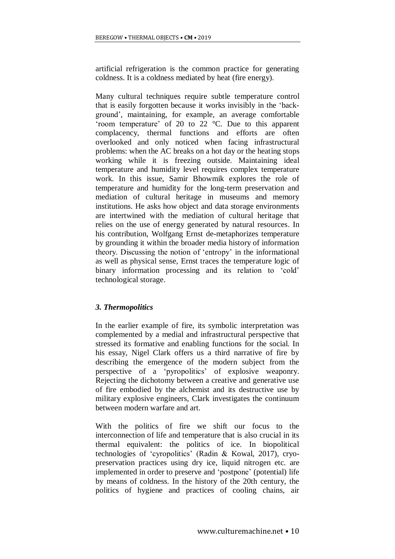artificial refrigeration is the common practice for generating coldness. It is a coldness mediated by heat (fire energy).

Many cultural techniques require subtle temperature control that is easily forgotten because it works invisibly in the 'background', maintaining, for example, an average comfortable 'room temperature' of 20 to 22 °C. Due to this apparent complacency, thermal functions and efforts are often overlooked and only noticed when facing infrastructural problems: when the AC breaks on a hot day or the heating stops working while it is freezing outside. Maintaining ideal temperature and humidity level requires complex temperature work. In this issue, Samir Bhowmik explores the role of temperature and humidity for the long-term preservation and mediation of cultural heritage in museums and memory institutions. He asks how object and data storage environments are intertwined with the mediation of cultural heritage that relies on the use of energy generated by natural resources. In his contribution, Wolfgang Ernst de-metaphorizes temperature by grounding it within the broader media history of information theory. Discussing the notion of 'entropy' in the informational as well as physical sense, Ernst traces the temperature logic of binary information processing and its relation to 'cold' technological storage.

### *3. Thermopolitics*

In the earlier example of fire, its symbolic interpretation was complemented by a medial and infrastructural perspective that stressed its formative and enabling functions for the social. In his essay, Nigel Clark offers us a third narrative of fire by describing the emergence of the modern subject from the perspective of a 'pyropolitics' of explosive weaponry. Rejecting the dichotomy between a creative and generative use of fire embodied by the alchemist and its destructive use by military explosive engineers, Clark investigates the continuum between modern warfare and art.

With the politics of fire we shift our focus to the interconnection of life and temperature that is also crucial in its thermal equivalent: the politics of ice. In biopolitical technologies of 'cyropolitics' (Radin & Kowal, 2017), cryopreservation practices using dry ice, liquid nitrogen etc. are implemented in order to preserve and 'postpone' (potential) life by means of coldness. In the history of the 20th century, the politics of hygiene and practices of cooling chains, air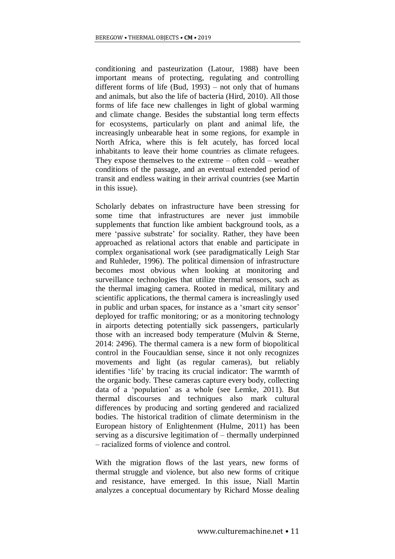conditioning and pasteurization (Latour, 1988) have been important means of protecting, regulating and controlling different forms of life (Bud, 1993) – not only that of humans and animals, but also the life of bacteria (Hird, 2010). All those forms of life face new challenges in light of global warming and climate change. Besides the substantial long term effects for ecosystems, particularly on plant and animal life, the increasingly unbearable heat in some regions, for example in North Africa, where this is felt acutely, has forced local inhabitants to leave their home countries as climate refugees. They expose themselves to the extreme – often cold – weather conditions of the passage, and an eventual extended period of transit and endless waiting in their arrival countries (see Martin in this issue).

Scholarly debates on infrastructure have been stressing for some time that infrastructures are never just immobile supplements that function like ambient background tools, as a mere 'passive substrate' for sociality. Rather, they have been approached as relational actors that enable and participate in complex organisational work (see paradigmatically Leigh Star and Ruhleder, 1996). The political dimension of infrastructure becomes most obvious when looking at monitoring and surveillance technologies that utilize thermal sensors, such as the thermal imaging camera. Rooted in medical, military and scientific applications, the thermal camera is increaslingly used in public and urban spaces, for instance as a 'smart city sensor' deployed for traffic monitoring; or as a monitoring technology in airports detecting potentially sick passengers, particularly those with an increased body temperature (Mulvin & Sterne, 2014: 2496). The thermal camera is a new form of biopolitical control in the Foucauldian sense, since it not only recognizes movements and light (as regular cameras), but reliably identifies 'life' by tracing its crucial indicator: The warmth of the organic body. These cameras capture every body, collecting data of a 'population' as a whole (see Lemke, 2011). But thermal discourses and techniques also mark cultural differences by producing and sorting gendered and racialized bodies. The historical tradition of climate determinism in the European history of Enlightenment (Hulme, 2011) has been serving as a discursive legitimation of – thermally underpinned – racialized forms of violence and control.

With the migration flows of the last years, new forms of thermal struggle and violence, but also new forms of critique and resistance, have emerged. In this issue, Niall Martin analyzes a conceptual documentary by Richard Mosse dealing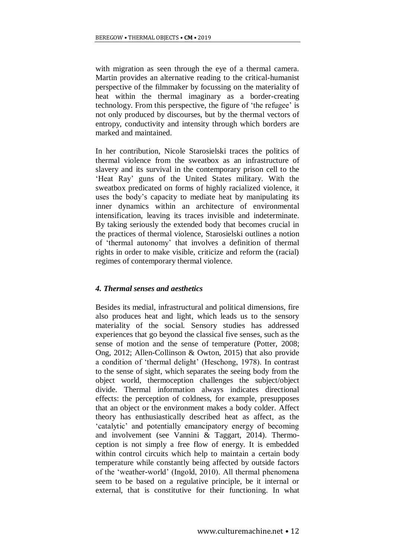with migration as seen through the eye of a thermal camera. Martin provides an alternative reading to the critical-humanist perspective of the filmmaker by focussing on the materiality of heat within the thermal imaginary as a border-creating technology. From this perspective, the figure of 'the refugee' is not only produced by discourses, but by the thermal vectors of entropy, conductivity and intensity through which borders are marked and maintained.

In her contribution, Nicole Starosielski traces the politics of thermal violence from the sweatbox as an infrastructure of slavery and its survival in the contemporary prison cell to the 'Heat Ray' guns of the United States military. With the sweatbox predicated on forms of highly racialized violence, it uses the body's capacity to mediate heat by manipulating its inner dynamics within an architecture of environmental intensification, leaving its traces invisible and indeterminate. By taking seriously the extended body that becomes crucial in the practices of thermal violence, Starosielski outlines a notion of 'thermal autonomy' that involves a definition of thermal rights in order to make visible, criticize and reform the (racial) regimes of contemporary thermal violence.

### *4. Thermal senses and aesthetics*

Besides its medial, infrastructural and political dimensions, fire also produces heat and light, which leads us to the sensory materiality of the social. Sensory studies has addressed experiences that go beyond the classical five senses, such as the sense of motion and the sense of temperature (Potter, 2008; Ong, 2012; Allen-Collinson & Owton, 2015) that also provide a condition of 'thermal delight' (Heschong, 1978). In contrast to the sense of sight, which separates the seeing body from the object world, thermoception challenges the subject/object divide. Thermal information always indicates directional effects: the perception of coldness, for example, presupposes that an object or the environment makes a body colder. Affect theory has enthusiastically described heat as affect, as the 'catalytic' and potentially emancipatory energy of becoming and involvement (see Vannini & Taggart, 2014). Thermoception is not simply a free flow of energy. It is embedded within control circuits which help to maintain a certain body temperature while constantly being affected by outside factors of the 'weather-world' (Ingold, 2010). All thermal phenomena seem to be based on a regulative principle, be it internal or external, that is constitutive for their functioning. In what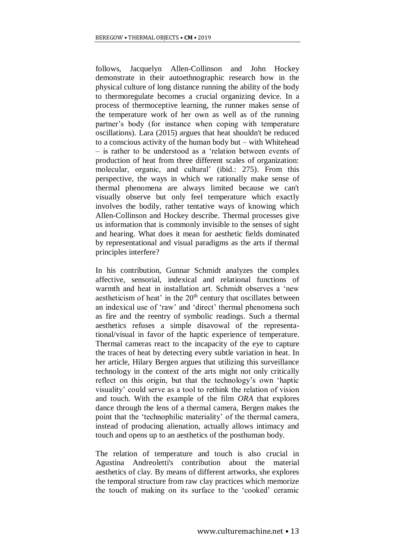follows, Jacquelyn Allen-Collinson and John Hockey demonstrate in their autoethnographic research how in the physical culture of long distance running the ability of the body to thermoregulate becomes a crucial organizing device. In a process of thermoceptive learning, the runner makes sense of the temperature work of her own as well as of the running partner's body (for instance when coping with temperature oscillations). Lara (2015) argues that heat shouldn't be reduced to a conscious activity of the human body but – with Whitehead – is rather to be understood as a 'relation between events of production of heat from three different scales of organization: molecular, organic, and cultural' (ibid.: 275). From this perspective, the ways in which we rationally make sense of thermal phenomena are always limited because we can't visually observe but only feel temperature which exactly involves the bodily, rather tentative ways of knowing which Allen-Collinson and Hockey describe. Thermal processes give us information that is commonly invisible to the senses of sight and hearing. What does it mean for aesthetic fields dominated by representational and visual paradigms as the arts if thermal principles interfere?

In his contribution, Gunnar Schmidt analyzes the complex affective, sensorial, indexical and relational functions of warmth and heat in installation art. Schmidt observes a 'new aestheticism of heat' in the 20<sup>th</sup> century that oscillates between an indexical use of 'raw' and 'direct' thermal phenomena such as fire and the reentry of symbolic readings. Such a thermal aesthetics refuses a simple disavowal of the representational/visual in favor of the haptic experience of temperature. Thermal cameras react to the incapacity of the eye to capture the traces of heat by detecting every subtle variation in heat. In her article, Hilary Bergen argues that utilizing this surveillance technology in the context of the arts might not only critically reflect on this origin, but that the technology's own 'haptic visuality' could serve as a tool to rethink the relation of vision and touch. With the example of the film *ORA* that explores dance through the lens of a thermal camera, Bergen makes the point that the 'technophilic materiality' of the thermal camera, instead of producing alienation, actually allows intimacy and touch and opens up to an aesthetics of the posthuman body.

The relation of temperature and touch is also crucial in Agustina Andreoletti's contribution about the material aesthetics of clay. By means of different artworks, she explores the temporal structure from raw clay practices which memorize the touch of making on its surface to the 'cooked' ceramic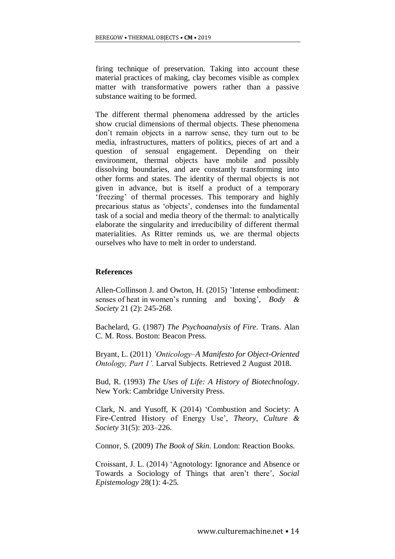firing technique of preservation. Taking into account these material practices of making, clay becomes visible as complex matter with transformative powers rather than a passive substance waiting to be formed.

The different thermal phenomena addressed by the articles show crucial dimensions of thermal objects. These phenomena don't remain objects in a narrow sense, they turn out to be media, infrastructures, matters of politics, pieces of art and a question of sensual engagement. Depending on their environment, thermal objects have mobile and possibly dissolving boundaries, and are constantly transforming into other forms and states. The identity of thermal objects is not given in advance, but is itself a product of a temporary 'freezing' of thermal processes. This temporary and highly precarious status as 'objects', condenses into the fundamental task of a social and media theory of the thermal: to analytically elaborate the singularity and irreducibility of different thermal materialities. As Ritter reminds us, we are thermal objects ourselves who have to melt in order to understand.

#### **References**

Allen-Collinson J. and Owton, H. (2015) 'Intense embodiment: senses of heat in women's running and boxing', *Body & Society* 21 (2): 245-268.

Bachelard, G. (1987) *The Psychoanalysis of Fire*. Trans. Alan C. M. Ross. Boston: Beacon Press.

Bryant, L. (2011) *'Onticology–A Manifesto for Object-Oriented Ontology, Part 1'.* Larval Subjects. Retrieved 2 August 2018.

Bud, R. (1993) *The Uses of Life: A History of Biotechnology*. New York: Cambridge University Press.

Clark, N. and Yusoff, K (2014) 'Combustion and Society: A Fire-Centred History of Energy Use', *Theory, Culture & Society* 31(5): 203–226.

Connor, S. (2009) *The Book of Skin*. London: Reaction Books.

Croissant, J. L. (2014) 'Agnotology: Ignorance and Absence or Towards a Sociology of Things that aren't there', *Social Epistemology* 28(1): 4-25.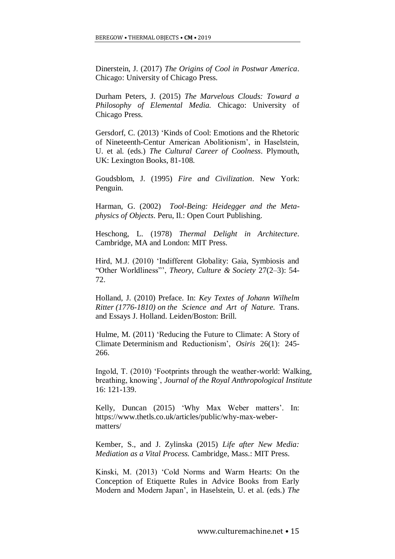Dinerstein, J. (2017) *The Origins of Cool in Postwar America*. Chicago: University of Chicago Press.

Durham Peters, J. (2015) *The Marvelous Clouds: Toward a Philosophy of Elemental Media.* Chicago: University of Chicago Press.

Gersdorf, C. (2013) 'Kinds of Cool: Emotions and the Rhetoric of Nineteenth-Centur American Abolitionism', in Haselstein, U. et al. (eds.) *The Cultural Career of Coolness*. Plymouth, UK: Lexington Books, 81-108.

Goudsblom, J. (1995) *Fire and Civilization*. New York: Penguin.

Harman, G. (2002) *Tool-Being: Heidegger and the Metaphysics of Objects*. Peru, Il.: Open Court Publishing.

Heschong, L. (1978) *Thermal Delight in Architecture*. Cambridge, MA and London: MIT Press.

Hird, M.J. (2010) 'Indifferent Globality: Gaia, Symbiosis and "Other Worldliness"', *Theory, Culture & Society* 27(2–3): 54- 72.

Holland, J. (2010) Preface. In: *Key Textes of Johann Wilhelm Ritter (1776-1810) on the Science and Art of Nature.* Trans. and Essays J. Holland. Leiden/Boston: Brill.

Hulme, M. (2011) 'Reducing the Future to Climate: A Story of Climate Determinism and Reductionism', *Osiris* 26(1): 245- 266.

Ingold, T. (2010) 'Footprints through the weather-world: Walking, breathing, knowing', *Journal of the Royal Anthropological Institute* 16: 121-139.

Kelly, Duncan (2015) 'Why Max Weber matters'. In: https://www.thetls.co.uk/articles/public/why-max-webermatters/

Kember, S., and J. Zylinska (2015) *Life after New Media: Mediation as a Vital Process.* Cambridge, Mass.: MIT Press.

Kinski, M. (2013) 'Cold Norms and Warm Hearts: On the Conception of Etiquette Rules in Advice Books from Early Modern and Modern Japan', in Haselstein, U. et al. (eds.) *The*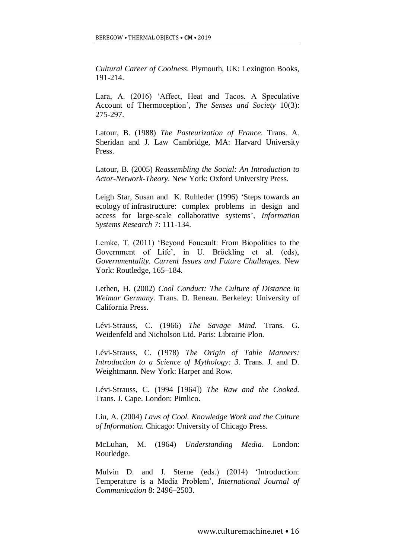*Cultural Career of Coolness*. Plymouth, UK: Lexington Books, 191-214.

Lara, A. (2016) 'Affect, Heat and Tacos. A Speculative Account of Thermoception', *The Senses and Society* 10(3): 275-297.

Latour, B. (1988) *The Pasteurization of France*. Trans. A. Sheridan and J. Law Cambridge, MA: Harvard University Press.

Latour, B. (2005) *Reassembling the Social: An Introduction to Actor-Network-Theory*. New York: Oxford University Press.

Leigh Star, Susan and K. Ruhleder (1996) 'Steps towards an ecology of infrastructure: complex problems in design and access for large-scale collaborative systems'*, Information Systems Research* 7: 111-134.

Lemke, T. (2011) 'Beyond Foucault: From Biopolitics to the Government of Life', in U. Bröckling et al. (eds), *Governmentality. Current Issues and Future Challenges.* New York: Routledge, 165–184.

Lethen, H. (2002) *Cool Conduct: The Culture of Distance in Weimar Germany*. Trans. D. Reneau. Berkeley: University of California Press.

Lévi-Strauss, C. (1966) *The Savage Mind.* Trans. G. Weidenfeld and Nicholson Ltd. Paris: Librairie Plon.

Lévi-Strauss, C. (1978) *The Origin of Table Manners: Introduction to a Science of Mythology: 3*. Trans. J. and D. Weightmann. New York: Harper and Row.

Lévi-Strauss, C. (1994 [1964]) *The Raw and the Cooked.* Trans. J. Cape. London: Pimlico.

Liu, A. (2004) *Laws of Cool. Knowledge Work and the Culture of Information.* Chicago: University of Chicago Press.

McLuhan, M. (1964) *Understanding Media*. London: Routledge.

Mulvin D. and J. Sterne (eds.) (2014) 'Introduction: Temperature is a Media Problem', *International Journal of Communication* 8: 2496–2503.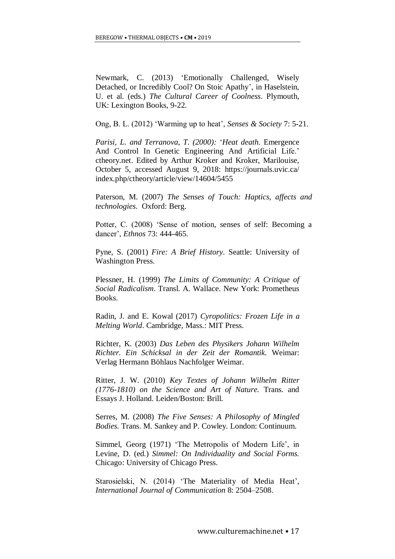Newmark, C. (2013) 'Emotionally Challenged, Wisely Detached, or Incredibly Cool? On Stoic Apathy', in Haselstein, U. et al. (eds.) *The Cultural Career of Coolness*. Plymouth, UK: Lexington Books, 9-22.

Ong, B. L. (2012) 'Warming up to heat', *Senses & Society* 7: 5-21.

*Parisi, L. and Terranova, T. (2000):* '*Heat death.* Emergence And Control In Genetic Engineering And Artificial Life.' ctheory.net. Edited by Arthur Kroker and Kroker, Marilouise, October 5, accessed August 9, 2018: https://journals.uvic.ca/ index.php/ctheory/article/view/14604/5455

Paterson, M. (2007) *The Senses of Touch: Haptics, affects and technologies*. Oxford: Berg.

Potter, C. (2008) 'Sense of motion, senses of self: Becoming a dancer', *Ethnos* 73: 444-465.

Pyne, S. (2001) *Fire: A Brief History*. Seattle: University of Washington Press.

Plessner, H. (1999) *The Limits of Community: A Critique of Social Radicalism*. Transl. A. Wallace. New York: Prometheus Books.

Radin, J. and E. Kowal (2017) *Cyropolitics: Frozen Life in a Melting World*. Cambridge, Mass.: MIT Press.

Richter, K. (2003) *Das Leben des Physikers Johann Wilhelm Richter. Ein Schicksal in der Zeit der Romantik.* Weimar: Verlag Hermann Böhlaus Nachfolger Weimar.

Ritter, J. W. (2010) *Key Textes of Johann Wilhelm Ritter (1776-1810) on the Science and Art of Nature.* Trans. and Essays J. Holland. Leiden/Boston: Brill.

Serres, M. (2008) *The Five Senses: A Philosophy of Mingled Bodies.* Trans. M. Sankey and P. Cowley. London: Continuum.

Simmel, Georg (1971) 'The Metropolis of Modern Life', in Levine, D. (ed.) *Simmel: On Individuality and Social Forms.* Chicago: University of Chicago Press.

Starosielski, N. (2014) 'The Materiality of Media Heat', *International Journal of Communication* 8: 2504–2508.